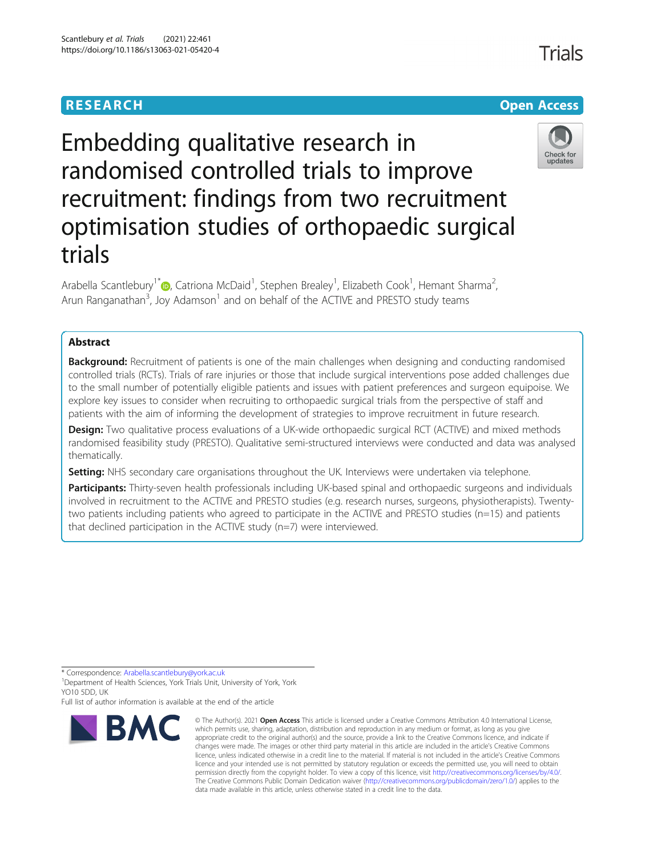## **RESEARCH CHEATER CONTROL**

# Embedding qualitative research in randomised controlled trials to improve recruitment: findings from two recruitment optimisation studies of orthopaedic surgical trials

Arabella Scantlebury<sup>1\*</sup> (D, Catriona McDaid<sup>1</sup>, Stephen Brealey<sup>1</sup>, Elizabeth Cook<sup>1</sup>, Hemant Sharma<sup>2</sup> , Arun Ranganathan<sup>3</sup>, Joy Adamson<sup>1</sup> and on behalf of the ACTIVE and PRESTO study teams

### Abstract

**Background:** Recruitment of patients is one of the main challenges when designing and conducting randomised controlled trials (RCTs). Trials of rare injuries or those that include surgical interventions pose added challenges due to the small number of potentially eligible patients and issues with patient preferences and surgeon equipoise. We explore key issues to consider when recruiting to orthopaedic surgical trials from the perspective of staff and patients with the aim of informing the development of strategies to improve recruitment in future research.

Design: Two qualitative process evaluations of a UK-wide orthopaedic surgical RCT (ACTIVE) and mixed methods randomised feasibility study (PRESTO). Qualitative semi-structured interviews were conducted and data was analysed thematically.

Setting: NHS secondary care organisations throughout the UK. Interviews were undertaken via telephone.

Participants: Thirty-seven health professionals including UK-based spinal and orthopaedic surgeons and individuals involved in recruitment to the ACTIVE and PRESTO studies (e.g. research nurses, surgeons, physiotherapists). Twentytwo patients including patients who agreed to participate in the ACTIVE and PRESTO studies (n=15) and patients that declined participation in the ACTIVE study (n=7) were interviewed.

\* Correspondence: [Arabella.scantlebury@york.ac.uk](mailto:Arabella.scantlebury@york.ac.uk) <sup>1</sup>

<sup>1</sup> Department of Health Sciences, York Trials Unit, University of York, York YO10 5DD, UK

Full list of author information is available at the end of the article



<sup>©</sup> The Author(s). 2021 **Open Access** This article is licensed under a Creative Commons Attribution 4.0 International License, which permits use, sharing, adaptation, distribution and reproduction in any medium or format, as long as you give appropriate credit to the original author(s) and the source, provide a link to the Creative Commons licence, and indicate if changes were made. The images or other third party material in this article are included in the article's Creative Commons licence, unless indicated otherwise in a credit line to the material. If material is not included in the article's Creative Commons licence and your intended use is not permitted by statutory regulation or exceeds the permitted use, you will need to obtain permission directly from the copyright holder. To view a copy of this licence, visit <http://creativecommons.org/licenses/by/4.0/>. The Creative Commons Public Domain Dedication waiver [\(http://creativecommons.org/publicdomain/zero/1.0/\)](http://creativecommons.org/publicdomain/zero/1.0/) applies to the data made available in this article, unless otherwise stated in a credit line to the data.



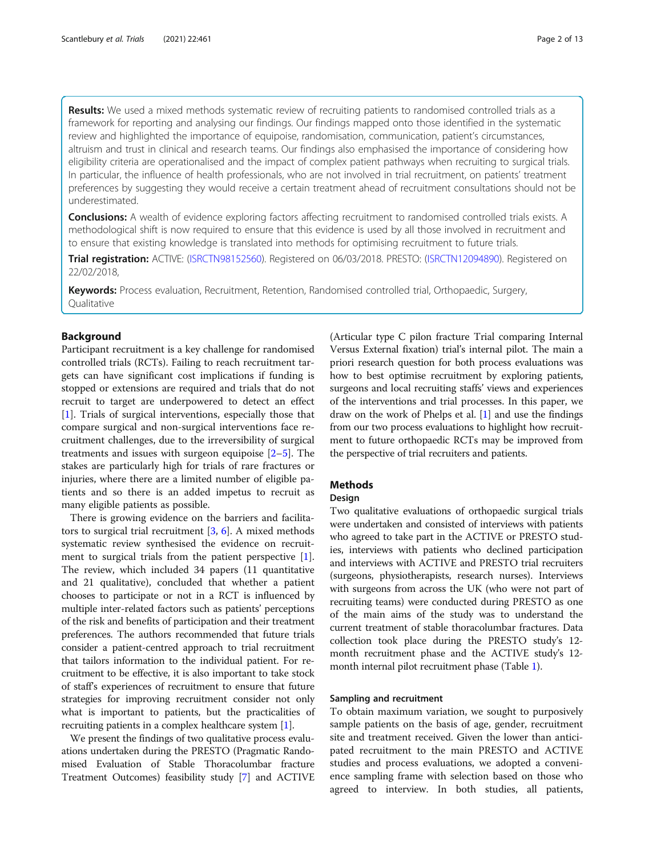Results: We used a mixed methods systematic review of recruiting patients to randomised controlled trials as a framework for reporting and analysing our findings. Our findings mapped onto those identified in the systematic review and highlighted the importance of equipoise, randomisation, communication, patient's circumstances, altruism and trust in clinical and research teams. Our findings also emphasised the importance of considering how eligibility criteria are operationalised and the impact of complex patient pathways when recruiting to surgical trials. In particular, the influence of health professionals, who are not involved in trial recruitment, on patients' treatment preferences by suggesting they would receive a certain treatment ahead of recruitment consultations should not be underestimated.

Conclusions: A wealth of evidence exploring factors affecting recruitment to randomised controlled trials exists. A methodological shift is now required to ensure that this evidence is used by all those involved in recruitment and to ensure that existing knowledge is translated into methods for optimising recruitment to future trials.

Trial registration: ACTIVE: [\(ISRCTN98152560\)](https://doi.org/10.1186/ISRCTN98152560). Registered on 06/03/2018. PRESTO: ([ISRCTN12094890](http://www.isrctn.com/ISRCTN12094890)). Registered on 22/02/2018,

Keywords: Process evaluation, Recruitment, Retention, Randomised controlled trial, Orthopaedic, Surgery, **Oualitative** 

#### Background

Participant recruitment is a key challenge for randomised controlled trials (RCTs). Failing to reach recruitment targets can have significant cost implications if funding is stopped or extensions are required and trials that do not recruit to target are underpowered to detect an effect [[1\]](#page-11-0). Trials of surgical interventions, especially those that compare surgical and non-surgical interventions face recruitment challenges, due to the irreversibility of surgical treatments and issues with surgeon equipoise  $[2-5]$  $[2-5]$  $[2-5]$ . The stakes are particularly high for trials of rare fractures or injuries, where there are a limited number of eligible patients and so there is an added impetus to recruit as many eligible patients as possible.

There is growing evidence on the barriers and facilitators to surgical trial recruitment [\[3](#page-11-0), [6](#page-11-0)]. A mixed methods systematic review synthesised the evidence on recruitment to surgical trials from the patient perspective [\[1](#page-11-0)]. The review, which included 34 papers (11 quantitative and 21 qualitative), concluded that whether a patient chooses to participate or not in a RCT is influenced by multiple inter-related factors such as patients' perceptions of the risk and benefits of participation and their treatment preferences. The authors recommended that future trials consider a patient-centred approach to trial recruitment that tailors information to the individual patient. For recruitment to be effective, it is also important to take stock of staff's experiences of recruitment to ensure that future strategies for improving recruitment consider not only what is important to patients, but the practicalities of recruiting patients in a complex healthcare system [\[1\]](#page-11-0).

We present the findings of two qualitative process evaluations undertaken during the PRESTO (Pragmatic Randomised Evaluation of Stable Thoracolumbar fracture Treatment Outcomes) feasibility study [[7](#page-11-0)] and ACTIVE

(Articular type C pilon fracture Trial comparing Internal Versus External fixation) trial's internal pilot. The main a priori research question for both process evaluations was how to best optimise recruitment by exploring patients, surgeons and local recruiting staffs' views and experiences of the interventions and trial processes. In this paper, we draw on the work of Phelps et al. [[1\]](#page-11-0) and use the findings from our two process evaluations to highlight how recruitment to future orthopaedic RCTs may be improved from the perspective of trial recruiters and patients.

#### **Mathods**

#### Design

Two qualitative evaluations of orthopaedic surgical trials were undertaken and consisted of interviews with patients who agreed to take part in the ACTIVE or PRESTO studies, interviews with patients who declined participation and interviews with ACTIVE and PRESTO trial recruiters (surgeons, physiotherapists, research nurses). Interviews with surgeons from across the UK (who were not part of recruiting teams) were conducted during PRESTO as one of the main aims of the study was to understand the current treatment of stable thoracolumbar fractures. Data collection took place during the PRESTO study's 12 month recruitment phase and the ACTIVE study's 12 month internal pilot recruitment phase (Table [1\)](#page-2-0).

#### Sampling and recruitment

To obtain maximum variation, we sought to purposively sample patients on the basis of age, gender, recruitment site and treatment received. Given the lower than anticipated recruitment to the main PRESTO and ACTIVE studies and process evaluations, we adopted a convenience sampling frame with selection based on those who agreed to interview. In both studies, all patients,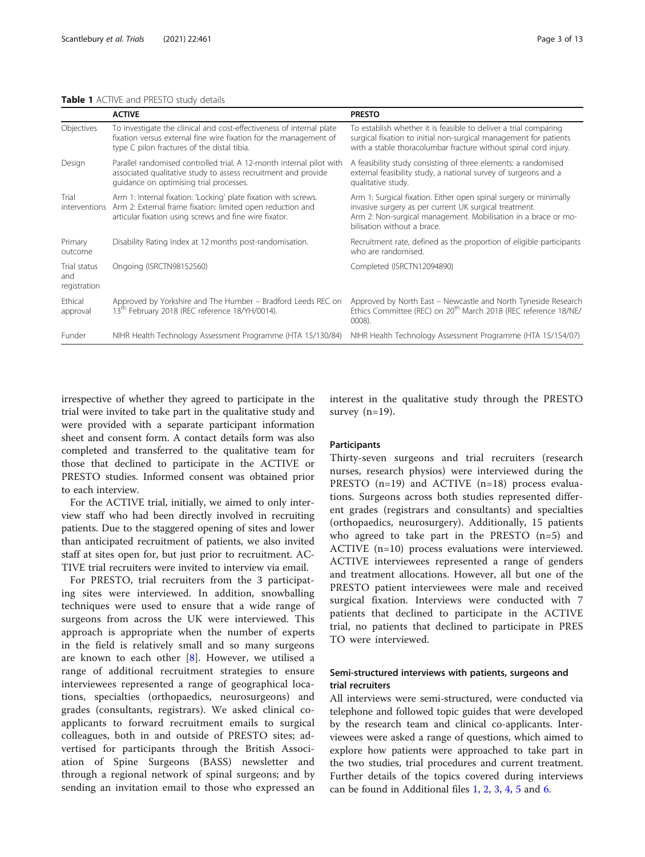<span id="page-2-0"></span>

|                                     | <b>ACTIVE</b>                                                                                                                                                                            | <b>PRESTO</b>                                                                                                                                                                                                                |
|-------------------------------------|------------------------------------------------------------------------------------------------------------------------------------------------------------------------------------------|------------------------------------------------------------------------------------------------------------------------------------------------------------------------------------------------------------------------------|
| Objectives                          | To investigate the clinical and cost-effectiveness of internal plate<br>fixation versus external fine wire fixation for the management of<br>type C pilon fractures of the distal tibia. | To establish whether it is feasible to deliver a trial comparing<br>surgical fixation to initial non-surgical management for patients<br>with a stable thoracolumbar fracture without spinal cord injury.                    |
| Design                              | Parallel randomised controlled trial. A 12-month internal pilot with<br>associated qualitative study to assess recruitment and provide<br>quidance on optimising trial processes.        | A feasibility study consisting of three elements: a randomised<br>external feasibility study, a national survey of surgeons and a<br>qualitative study.                                                                      |
| Trial<br>interventions              | Arm 1: Internal fixation: 'Locking' plate fixation with screws.<br>Arm 2: External frame fixation: limited open reduction and<br>articular fixation using screws and fine wire fixator.  | Arm 1: Surgical fixation. Either open spinal surgery or minimally<br>invasive surgery as per current UK surgical treatment.<br>Arm 2: Non-surgical management. Mobilisation in a brace or mo-<br>bilisation without a brace. |
| Primary<br>outcome                  | Disability Rating Index at 12 months post-randomisation.                                                                                                                                 | Recruitment rate, defined as the proportion of eligible participants<br>who are randomised.                                                                                                                                  |
| Trial status<br>and<br>registration | Ongoing (ISRCTN98152560)                                                                                                                                                                 | Completed (ISRCTN12094890)                                                                                                                                                                                                   |
| Ethical<br>approval                 | Approved by Yorkshire and The Humber – Bradford Leeds REC on<br>13th February 2018 (REC reference 18/YH/0014).                                                                           | Approved by North East – Newcastle and North Tyneside Research<br>Ethics Committee (REC) on 20 <sup>th</sup> March 2018 (REC reference 18/NE/<br>0008).                                                                      |
| Funder                              | NIHR Health Technology Assessment Programme (HTA 15/130/84)                                                                                                                              | NIHR Health Technology Assessment Programme (HTA 15/154/07)                                                                                                                                                                  |

irrespective of whether they agreed to participate in the trial were invited to take part in the qualitative study and were provided with a separate participant information sheet and consent form. A contact details form was also completed and transferred to the qualitative team for those that declined to participate in the ACTIVE or PRESTO studies. Informed consent was obtained prior to each interview.

For the ACTIVE trial, initially, we aimed to only interview staff who had been directly involved in recruiting patients. Due to the staggered opening of sites and lower than anticipated recruitment of patients, we also invited staff at sites open for, but just prior to recruitment. AC-TIVE trial recruiters were invited to interview via email.

For PRESTO, trial recruiters from the 3 participating sites were interviewed. In addition, snowballing techniques were used to ensure that a wide range of surgeons from across the UK were interviewed. This approach is appropriate when the number of experts in the field is relatively small and so many surgeons are known to each other  $[8]$  $[8]$ . However, we utilised a range of additional recruitment strategies to ensure interviewees represented a range of geographical locations, specialties (orthopaedics, neurosurgeons) and grades (consultants, registrars). We asked clinical coapplicants to forward recruitment emails to surgical colleagues, both in and outside of PRESTO sites; advertised for participants through the British Association of Spine Surgeons (BASS) newsletter and through a regional network of spinal surgeons; and by sending an invitation email to those who expressed an interest in the qualitative study through the PRESTO survey  $(n=19)$ .

#### **Participants**

Thirty-seven surgeons and trial recruiters (research nurses, research physios) were interviewed during the PRESTO (n=19) and ACTIVE (n=18) process evaluations. Surgeons across both studies represented different grades (registrars and consultants) and specialties (orthopaedics, neurosurgery). Additionally, 15 patients who agreed to take part in the PRESTO (n=5) and ACTIVE (n=10) process evaluations were interviewed. ACTIVE interviewees represented a range of genders and treatment allocations. However, all but one of the PRESTO patient interviewees were male and received surgical fixation. Interviews were conducted with 7 patients that declined to participate in the ACTIVE trial, no patients that declined to participate in PRES TO were interviewed.

#### Semi-structured interviews with patients, surgeons and trial recruiters

All interviews were semi-structured, were conducted via telephone and followed topic guides that were developed by the research team and clinical co-applicants. Interviewees were asked a range of questions, which aimed to explore how patients were approached to take part in the two studies, trial procedures and current treatment. Further details of the topics covered during interviews can be found in Additional files [1](#page-11-0), [2](#page-11-0), [3](#page-11-0), [4](#page-11-0), [5](#page-11-0) and [6.](#page-11-0)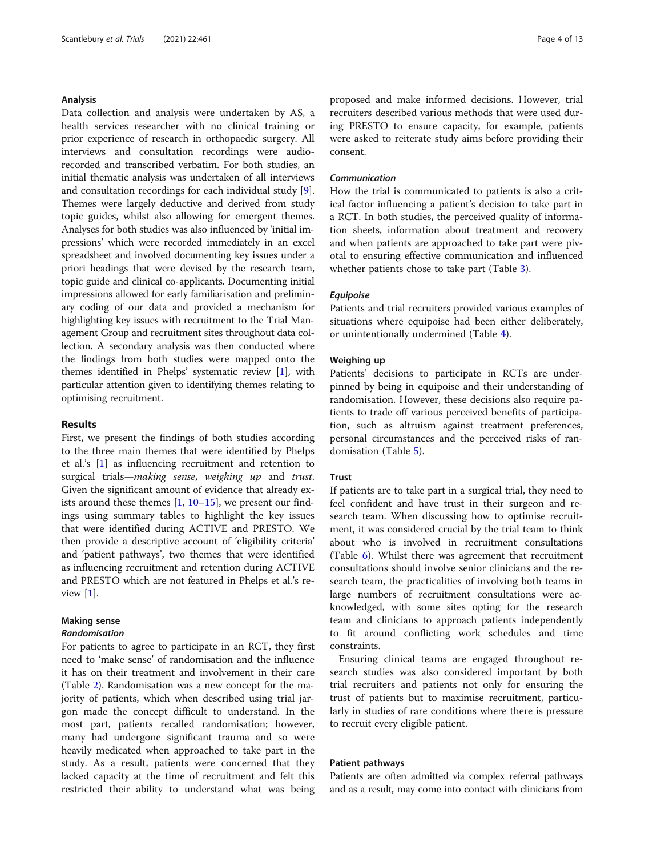#### Analysis

Data collection and analysis were undertaken by AS, a health services researcher with no clinical training or prior experience of research in orthopaedic surgery. All interviews and consultation recordings were audiorecorded and transcribed verbatim. For both studies, an initial thematic analysis was undertaken of all interviews and consultation recordings for each individual study [\[9](#page-11-0)]. Themes were largely deductive and derived from study topic guides, whilst also allowing for emergent themes. Analyses for both studies was also influenced by 'initial impressions' which were recorded immediately in an excel spreadsheet and involved documenting key issues under a priori headings that were devised by the research team, topic guide and clinical co-applicants. Documenting initial impressions allowed for early familiarisation and preliminary coding of our data and provided a mechanism for highlighting key issues with recruitment to the Trial Management Group and recruitment sites throughout data collection. A secondary analysis was then conducted where the findings from both studies were mapped onto the themes identified in Phelps' systematic review [\[1\]](#page-11-0), with particular attention given to identifying themes relating to optimising recruitment.

#### Results

First, we present the findings of both studies according to the three main themes that were identified by Phelps et al.'s [[1\]](#page-11-0) as influencing recruitment and retention to surgical trials—making sense, weighing up and trust. Given the significant amount of evidence that already exists around these themes  $[1, 10-15]$  $[1, 10-15]$  $[1, 10-15]$  $[1, 10-15]$  $[1, 10-15]$  $[1, 10-15]$  $[1, 10-15]$ , we present our findings using summary tables to highlight the key issues that were identified during ACTIVE and PRESTO. We then provide a descriptive account of 'eligibility criteria' and 'patient pathways', two themes that were identified as influencing recruitment and retention during ACTIVE and PRESTO which are not featured in Phelps et al.'s review  $[1]$  $[1]$ .

#### Making sense

#### Randomisation

For patients to agree to participate in an RCT, they first need to 'make sense' of randomisation and the influence it has on their treatment and involvement in their care (Table [2\)](#page-4-0). Randomisation was a new concept for the majority of patients, which when described using trial jargon made the concept difficult to understand. In the most part, patients recalled randomisation; however, many had undergone significant trauma and so were heavily medicated when approached to take part in the study. As a result, patients were concerned that they lacked capacity at the time of recruitment and felt this restricted their ability to understand what was being

proposed and make informed decisions. However, trial recruiters described various methods that were used during PRESTO to ensure capacity, for example, patients were asked to reiterate study aims before providing their consent.

#### Communication

How the trial is communicated to patients is also a critical factor influencing a patient's decision to take part in a RCT. In both studies, the perceived quality of information sheets, information about treatment and recovery and when patients are approached to take part were pivotal to ensuring effective communication and influenced whether patients chose to take part (Table [3](#page-5-0)).

#### Equipoise

Patients and trial recruiters provided various examples of situations where equipoise had been either deliberately, or unintentionally undermined (Table [4](#page-6-0)).

#### Weighing up

Patients' decisions to participate in RCTs are underpinned by being in equipoise and their understanding of randomisation. However, these decisions also require patients to trade off various perceived benefits of participation, such as altruism against treatment preferences, personal circumstances and the perceived risks of randomisation (Table [5\)](#page-7-0).

#### **Trust**

If patients are to take part in a surgical trial, they need to feel confident and have trust in their surgeon and research team. When discussing how to optimise recruitment, it was considered crucial by the trial team to think about who is involved in recruitment consultations (Table [6\)](#page-8-0). Whilst there was agreement that recruitment consultations should involve senior clinicians and the research team, the practicalities of involving both teams in large numbers of recruitment consultations were acknowledged, with some sites opting for the research team and clinicians to approach patients independently to fit around conflicting work schedules and time constraints.

Ensuring clinical teams are engaged throughout research studies was also considered important by both trial recruiters and patients not only for ensuring the trust of patients but to maximise recruitment, particularly in studies of rare conditions where there is pressure to recruit every eligible patient.

#### Patient pathways

Patients are often admitted via complex referral pathways and as a result, may come into contact with clinicians from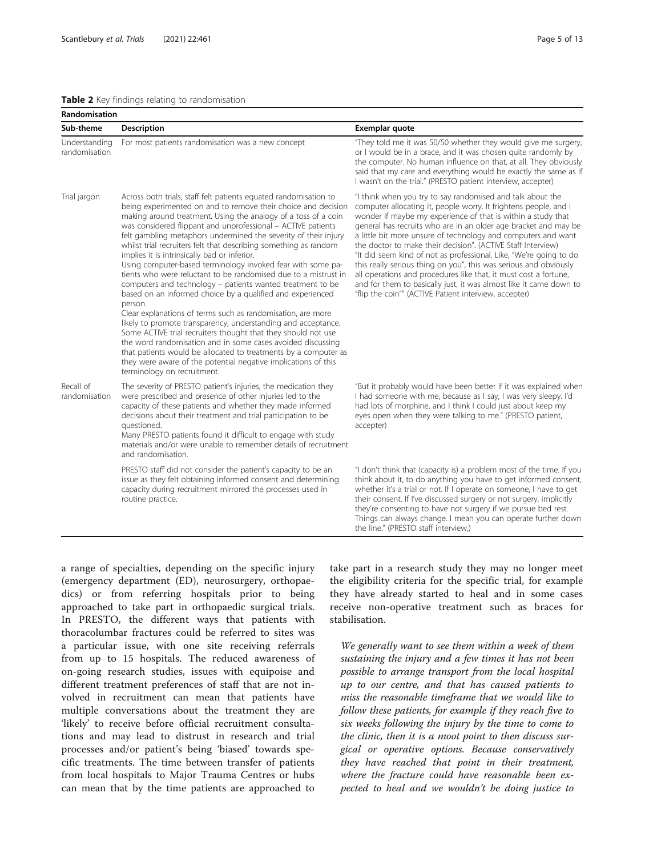#### <span id="page-4-0"></span>Table 2 Key findings relating to randomisation

| Randomisation                  |                                                                                                                                                                                                                                                                                                                                                                                                                                                                                                                                                                                                                                                                                                                                                                                                                                                                                                                                                                                                                                                                                                                                                                         |                                                                                                                                                                                                                                                                                                                                                                                                                                                                                                                                                                                                                                                                                                                                                  |  |
|--------------------------------|-------------------------------------------------------------------------------------------------------------------------------------------------------------------------------------------------------------------------------------------------------------------------------------------------------------------------------------------------------------------------------------------------------------------------------------------------------------------------------------------------------------------------------------------------------------------------------------------------------------------------------------------------------------------------------------------------------------------------------------------------------------------------------------------------------------------------------------------------------------------------------------------------------------------------------------------------------------------------------------------------------------------------------------------------------------------------------------------------------------------------------------------------------------------------|--------------------------------------------------------------------------------------------------------------------------------------------------------------------------------------------------------------------------------------------------------------------------------------------------------------------------------------------------------------------------------------------------------------------------------------------------------------------------------------------------------------------------------------------------------------------------------------------------------------------------------------------------------------------------------------------------------------------------------------------------|--|
| Sub-theme                      | <b>Description</b>                                                                                                                                                                                                                                                                                                                                                                                                                                                                                                                                                                                                                                                                                                                                                                                                                                                                                                                                                                                                                                                                                                                                                      | Exemplar quote                                                                                                                                                                                                                                                                                                                                                                                                                                                                                                                                                                                                                                                                                                                                   |  |
| Understanding<br>randomisation | For most patients randomisation was a new concept                                                                                                                                                                                                                                                                                                                                                                                                                                                                                                                                                                                                                                                                                                                                                                                                                                                                                                                                                                                                                                                                                                                       | "They told me it was 50/50 whether they would give me surgery,<br>or I would be in a brace, and it was chosen quite randomly by<br>the computer. No human influence on that, at all. They obviously<br>said that my care and everything would be exactly the same as if<br>I wasn't on the trial." (PRESTO patient interview, accepter)                                                                                                                                                                                                                                                                                                                                                                                                          |  |
| Trial jargon                   | Across both trials, staff felt patients equated randomisation to<br>being experimented on and to remove their choice and decision<br>making around treatment. Using the analogy of a toss of a coin<br>was considered flippant and unprofessional - ACTIVE patients<br>felt gambling metaphors undermined the severity of their injury<br>whilst trial recruiters felt that describing something as random<br>implies it is intrinsically bad or inferior.<br>Using computer-based terminology invoked fear with some pa-<br>tients who were reluctant to be randomised due to a mistrust in<br>computers and technology - patients wanted treatment to be<br>based on an informed choice by a qualified and experienced<br>person.<br>Clear explanations of terms such as randomisation, are more<br>likely to promote transparency, understanding and acceptance.<br>Some ACTIVE trial recruiters thought that they should not use<br>the word randomisation and in some cases avoided discussing<br>that patients would be allocated to treatments by a computer as<br>they were aware of the potential negative implications of this<br>terminology on recruitment. | "I think when you try to say randomised and talk about the<br>computer allocating it, people worry. It frightens people, and I<br>wonder if maybe my experience of that is within a study that<br>general has recruits who are in an older age bracket and may be<br>a little bit more unsure of technology and computers and want<br>the doctor to make their decision". (ACTIVE Staff Interview)<br>"It did seem kind of not as professional. Like, "We're going to do<br>this really serious thing on you", this was serious and obviously<br>all operations and procedures like that, it must cost a fortune,<br>and for them to basically just, it was almost like it came down to<br>"flip the coin"" (ACTIVE Patient interview, accepter) |  |
| Recall of<br>randomisation     | The severity of PRESTO patient's injuries, the medication they<br>were prescribed and presence of other injuries led to the<br>capacity of these patients and whether they made informed<br>decisions about their treatment and trial participation to be<br>questioned.<br>Many PRESTO patients found it difficult to engage with study<br>materials and/or were unable to remember details of recruitment<br>and randomisation.                                                                                                                                                                                                                                                                                                                                                                                                                                                                                                                                                                                                                                                                                                                                       | "But it probably would have been better if it was explained when<br>I had someone with me, because as I say, I was very sleepy. I'd<br>had lots of morphine, and I think I could just about keep my<br>eyes open when they were talking to me." (PRESTO patient,<br>accepter)                                                                                                                                                                                                                                                                                                                                                                                                                                                                    |  |
|                                | PRESTO staff did not consider the patient's capacity to be an<br>issue as they felt obtaining informed consent and determining<br>capacity during recruitment mirrored the processes used in<br>routine practice.                                                                                                                                                                                                                                                                                                                                                                                                                                                                                                                                                                                                                                                                                                                                                                                                                                                                                                                                                       | "I don't think that (capacity is) a problem most of the time. If you<br>think about it, to do anything you have to get informed consent,<br>whether it's a trial or not. If I operate on someone, I have to get<br>their consent. If I've discussed surgery or not surgery, implicitly<br>they're consenting to have not surgery if we pursue bed rest.<br>Things can always change. I mean you can operate further down<br>the line." (PRESTO staff interview.)                                                                                                                                                                                                                                                                                 |  |

a range of specialties, depending on the specific injury (emergency department (ED), neurosurgery, orthopaedics) or from referring hospitals prior to being approached to take part in orthopaedic surgical trials. In PRESTO, the different ways that patients with thoracolumbar fractures could be referred to sites was a particular issue, with one site receiving referrals from up to 15 hospitals. The reduced awareness of on-going research studies, issues with equipoise and different treatment preferences of staff that are not involved in recruitment can mean that patients have multiple conversations about the treatment they are 'likely' to receive before official recruitment consultations and may lead to distrust in research and trial processes and/or patient's being 'biased' towards specific treatments. The time between transfer of patients from local hospitals to Major Trauma Centres or hubs can mean that by the time patients are approached to

take part in a research study they may no longer meet the eligibility criteria for the specific trial, for example they have already started to heal and in some cases receive non-operative treatment such as braces for stabilisation.

We generally want to see them within a week of them sustaining the injury and a few times it has not been possible to arrange transport from the local hospital up to our centre, and that has caused patients to miss the reasonable timeframe that we would like to follow these patients, for example if they reach five to six weeks following the injury by the time to come to the clinic, then it is a moot point to then discuss surgical or operative options. Because conservatively they have reached that point in their treatment, where the fracture could have reasonable been expected to heal and we wouldn't be doing justice to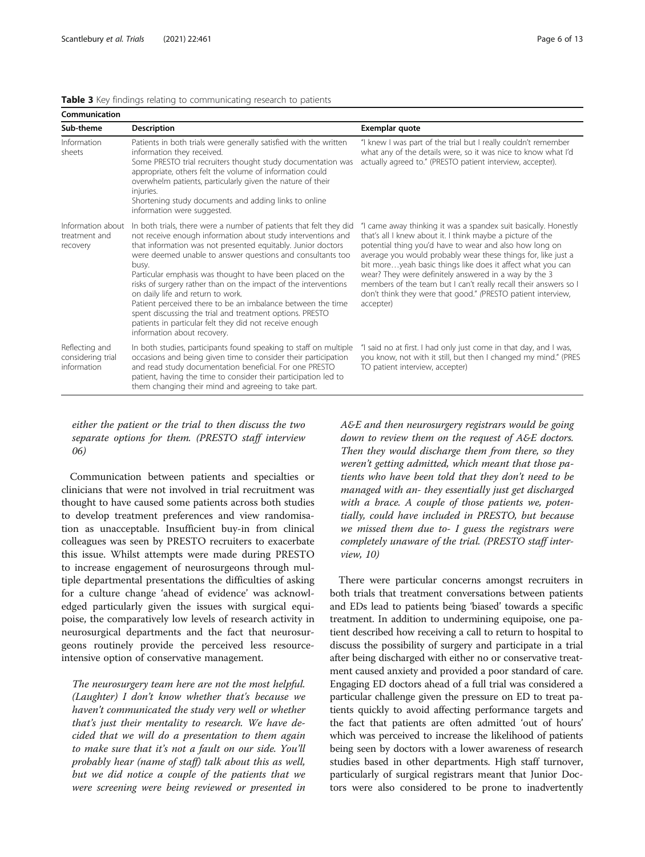| Communication                                      |                                                                                                                                                                                                                                                                                                                                                                                                                                                                                                                                                                                                                                                                      |                                                                                                                                                                                                                                                                                                                                                                                                                                                                                                                                   |  |
|----------------------------------------------------|----------------------------------------------------------------------------------------------------------------------------------------------------------------------------------------------------------------------------------------------------------------------------------------------------------------------------------------------------------------------------------------------------------------------------------------------------------------------------------------------------------------------------------------------------------------------------------------------------------------------------------------------------------------------|-----------------------------------------------------------------------------------------------------------------------------------------------------------------------------------------------------------------------------------------------------------------------------------------------------------------------------------------------------------------------------------------------------------------------------------------------------------------------------------------------------------------------------------|--|
| Sub-theme                                          | <b>Description</b>                                                                                                                                                                                                                                                                                                                                                                                                                                                                                                                                                                                                                                                   | Exemplar quote                                                                                                                                                                                                                                                                                                                                                                                                                                                                                                                    |  |
| Information<br>sheets                              | Patients in both trials were generally satisfied with the written<br>information they received.<br>Some PRESTO trial recruiters thought study documentation was<br>appropriate, others felt the volume of information could<br>overwhelm patients, particularly given the nature of their<br>injuries.<br>Shortening study documents and adding links to online<br>information were suggested.                                                                                                                                                                                                                                                                       | "I knew I was part of the trial but I really couldn't remember<br>what any of the details were, so it was nice to know what I'd<br>actually agreed to." (PRESTO patient interview, accepter).                                                                                                                                                                                                                                                                                                                                     |  |
| Information about<br>treatment and<br>recovery     | In both trials, there were a number of patients that felt they did<br>not receive enough information about study interventions and<br>that information was not presented equitably. Junior doctors<br>were deemed unable to answer questions and consultants too<br>busy.<br>Particular emphasis was thought to have been placed on the<br>risks of surgery rather than on the impact of the interventions<br>on daily life and return to work.<br>Patient perceived there to be an imbalance between the time<br>spent discussing the trial and treatment options. PRESTO<br>patients in particular felt they did not receive enough<br>information about recovery. | "I came away thinking it was a spandex suit basically. Honestly<br>that's all I knew about it. I think maybe a picture of the<br>potential thing you'd have to wear and also how long on<br>average you would probably wear these things for, like just a<br>bit moreyeah basic things like does it affect what you can<br>wear? They were definitely answered in a way by the 3<br>members of the team but I can't really recall their answers so I<br>don't think they were that good." (PRESTO patient interview,<br>accepter) |  |
| Reflecting and<br>considering trial<br>information | In both studies, participants found speaking to staff on multiple<br>occasions and being given time to consider their participation<br>and read study documentation beneficial. For one PRESTO<br>patient, having the time to consider their participation led to<br>them changing their mind and agreeing to take part.                                                                                                                                                                                                                                                                                                                                             | "I said no at first. I had only just come in that day, and I was,<br>you know, not with it still, but then I changed my mind." (PRES<br>TO patient interview, accepter)                                                                                                                                                                                                                                                                                                                                                           |  |

<span id="page-5-0"></span>Table 3 Key findings relating to communicating research to patients

either the patient or the trial to then discuss the two separate options for them. (PRESTO staff interview 06)

Communication between patients and specialties or clinicians that were not involved in trial recruitment was thought to have caused some patients across both studies to develop treatment preferences and view randomisation as unacceptable. Insufficient buy-in from clinical colleagues was seen by PRESTO recruiters to exacerbate this issue. Whilst attempts were made during PRESTO to increase engagement of neurosurgeons through multiple departmental presentations the difficulties of asking for a culture change 'ahead of evidence' was acknowledged particularly given the issues with surgical equipoise, the comparatively low levels of research activity in neurosurgical departments and the fact that neurosurgeons routinely provide the perceived less resourceintensive option of conservative management.

The neurosurgery team here are not the most helpful. (Laughter) I don't know whether that's because we haven't communicated the study very well or whether that's just their mentality to research. We have decided that we will do a presentation to them again to make sure that it's not a fault on our side. You'll probably hear (name of staff) talk about this as well, but we did notice a couple of the patients that we were screening were being reviewed or presented in

A&E and then neurosurgery registrars would be going down to review them on the request of A&E doctors. Then they would discharge them from there, so they weren't getting admitted, which meant that those patients who have been told that they don't need to be managed with an- they essentially just get discharged with a brace. A couple of those patients we, potentially, could have included in PRESTO, but because we missed them due to- I guess the registrars were completely unaware of the trial. (PRESTO staff interview, 10)

There were particular concerns amongst recruiters in both trials that treatment conversations between patients and EDs lead to patients being 'biased' towards a specific treatment. In addition to undermining equipoise, one patient described how receiving a call to return to hospital to discuss the possibility of surgery and participate in a trial after being discharged with either no or conservative treatment caused anxiety and provided a poor standard of care. Engaging ED doctors ahead of a full trial was considered a particular challenge given the pressure on ED to treat patients quickly to avoid affecting performance targets and the fact that patients are often admitted 'out of hours' which was perceived to increase the likelihood of patients being seen by doctors with a lower awareness of research studies based in other departments. High staff turnover, particularly of surgical registrars meant that Junior Doctors were also considered to be prone to inadvertently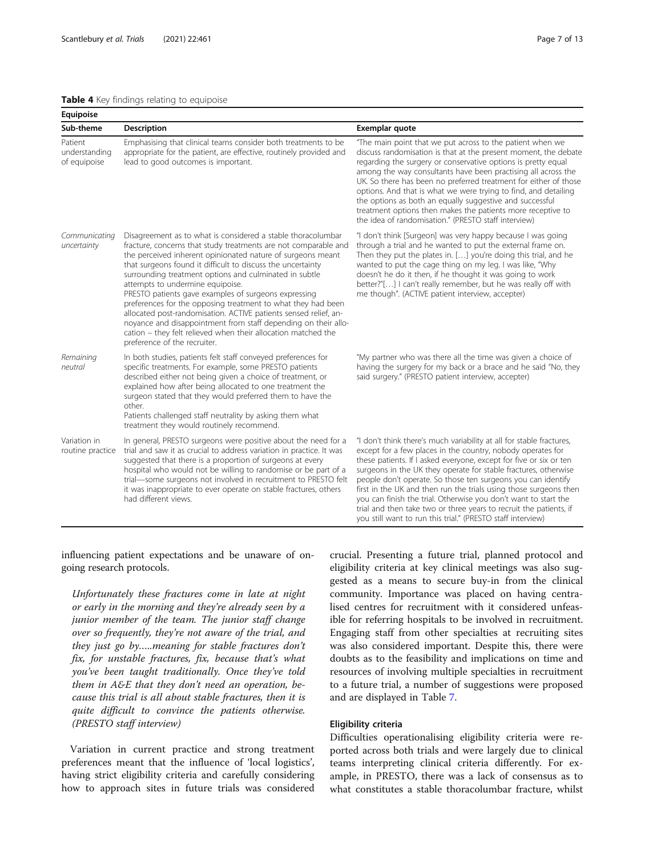#### <span id="page-6-0"></span>Table 4 Key findings relating to equipoise

| Equipoise                                |                                                                                                                                                                                                                                                                                                                                                                                                                                                                                                                                                                                                                                                                                                                            |                                                                                                                                                                                                                                                                                                                                                                                                                                                                                                                                                                                                                           |
|------------------------------------------|----------------------------------------------------------------------------------------------------------------------------------------------------------------------------------------------------------------------------------------------------------------------------------------------------------------------------------------------------------------------------------------------------------------------------------------------------------------------------------------------------------------------------------------------------------------------------------------------------------------------------------------------------------------------------------------------------------------------------|---------------------------------------------------------------------------------------------------------------------------------------------------------------------------------------------------------------------------------------------------------------------------------------------------------------------------------------------------------------------------------------------------------------------------------------------------------------------------------------------------------------------------------------------------------------------------------------------------------------------------|
| Sub-theme                                | Description                                                                                                                                                                                                                                                                                                                                                                                                                                                                                                                                                                                                                                                                                                                | Exemplar quote                                                                                                                                                                                                                                                                                                                                                                                                                                                                                                                                                                                                            |
| Patient<br>understanding<br>of equipoise | Emphasising that clinical teams consider both treatments to be<br>appropriate for the patient, are effective, routinely provided and<br>lead to good outcomes is important.                                                                                                                                                                                                                                                                                                                                                                                                                                                                                                                                                | "The main point that we put across to the patient when we<br>discuss randomisation is that at the present moment, the debate<br>regarding the surgery or conservative options is pretty equal<br>among the way consultants have been practising all across the<br>UK. So there has been no preferred treatment for either of those<br>options. And that is what we were trying to find, and detailing<br>the options as both an equally suggestive and successful<br>treatment options then makes the patients more receptive to<br>the idea of randomisation." (PRESTO staff interview)                                  |
| Communicating<br>uncertainty             | Disagreement as to what is considered a stable thoracolumbar<br>fracture, concerns that study treatments are not comparable and<br>the perceived inherent opinionated nature of surgeons meant<br>that surgeons found it difficult to discuss the uncertainty<br>surrounding treatment options and culminated in subtle<br>attempts to undermine equipoise.<br>PRESTO patients gave examples of surgeons expressing<br>preferences for the opposing treatment to what they had been<br>allocated post-randomisation. ACTIVE patients sensed relief, an-<br>noyance and disappointment from staff depending on their allo-<br>cation - they felt relieved when their allocation matched the<br>preference of the recruiter. | "I don't think [Surgeon] was very happy because I was going<br>through a trial and he wanted to put the external frame on.<br>Then they put the plates in. [] you're doing this trial, and he<br>wanted to put the cage thing on my leg. I was like, "Why<br>doesn't he do it then, if he thought it was going to work<br>better?"[] I can't really remember, but he was really off with<br>me though". (ACTIVE patient interview, accepter)                                                                                                                                                                              |
| Remaining<br>neutral                     | In both studies, patients felt staff conveyed preferences for<br>specific treatments. For example, some PRESTO patients<br>described either not being given a choice of treatment, or<br>explained how after being allocated to one treatment the<br>surgeon stated that they would preferred them to have the<br>other.<br>Patients challenged staff neutrality by asking them what<br>treatment they would routinely recommend.                                                                                                                                                                                                                                                                                          | "My partner who was there all the time was given a choice of<br>having the surgery for my back or a brace and he said "No, they<br>said surgery." (PRESTO patient interview, accepter)                                                                                                                                                                                                                                                                                                                                                                                                                                    |
| Variation in<br>routine practice         | In general, PRESTO surgeons were positive about the need for a<br>trial and saw it as crucial to address variation in practice. It was<br>suggested that there is a proportion of surgeons at every<br>hospital who would not be willing to randomise or be part of a<br>trial-some surgeons not involved in recruitment to PRESTO felt<br>it was inappropriate to ever operate on stable fractures, others<br>had different views.                                                                                                                                                                                                                                                                                        | "I don't think there's much variability at all for stable fractures,<br>except for a few places in the country, nobody operates for<br>these patients. If I asked everyone, except for five or six or ten<br>surgeons in the UK they operate for stable fractures, otherwise<br>people don't operate. So those ten surgeons you can identify<br>first in the UK and then run the trials using those surgeons then<br>you can finish the trial. Otherwise you don't want to start the<br>trial and then take two or three years to recruit the patients, if<br>you still want to run this trial." (PRESTO staff interview) |

influencing patient expectations and be unaware of ongoing research protocols.

Unfortunately these fractures come in late at night or early in the morning and they're already seen by a junior member of the team. The junior staff change over so frequently, they're not aware of the trial, and they just go by…..meaning for stable fractures don't fix, for unstable fractures, fix, because that's what you've been taught traditionally. Once they've told them in A&E that they don't need an operation, because this trial is all about stable fractures, then it is quite difficult to convince the patients otherwise. (PRESTO staff interview)

Variation in current practice and strong treatment preferences meant that the influence of 'local logistics', having strict eligibility criteria and carefully considering how to approach sites in future trials was considered crucial. Presenting a future trial, planned protocol and eligibility criteria at key clinical meetings was also suggested as a means to secure buy-in from the clinical community. Importance was placed on having centralised centres for recruitment with it considered unfeasible for referring hospitals to be involved in recruitment. Engaging staff from other specialties at recruiting sites was also considered important. Despite this, there were doubts as to the feasibility and implications on time and resources of involving multiple specialties in recruitment to a future trial, a number of suggestions were proposed and are displayed in Table [7.](#page-9-0)

#### Eligibility criteria

Difficulties operationalising eligibility criteria were reported across both trials and were largely due to clinical teams interpreting clinical criteria differently. For example, in PRESTO, there was a lack of consensus as to what constitutes a stable thoracolumbar fracture, whilst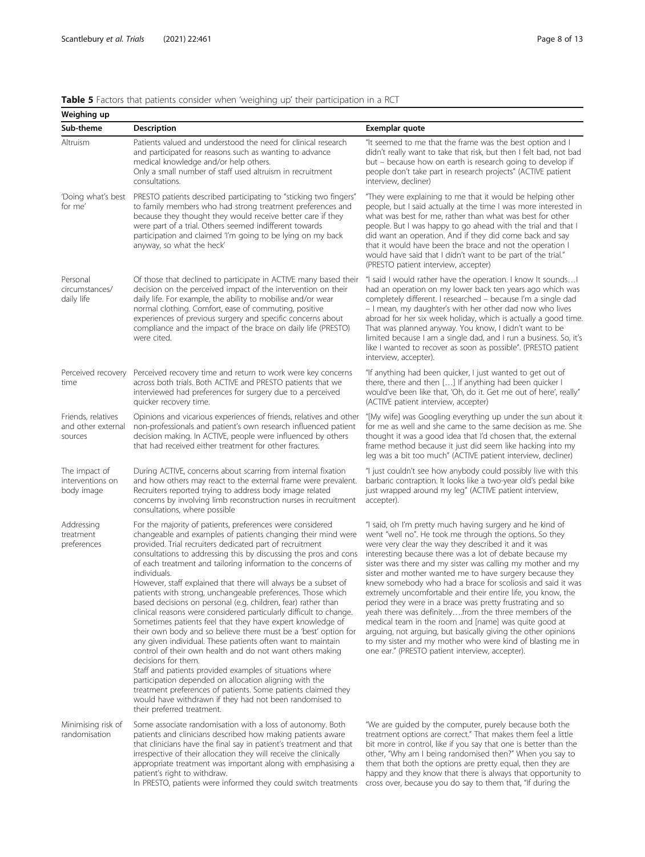#### <span id="page-7-0"></span>Table 5 Factors that patients consider when 'weighing up' their participation in a RCT

| Weighing up                                                                                                                                                                                                                                                                                                                                                                                                                                                                                                                                                                                                                                                                                                                                                                                                                                                                                                                                                                                                                                                                                                                                                                                                                       |                                                                                                                                                                                                                                                                                                                                                                                                                                        |                                                                                                                                                                                                                                                                                                                                                                                                                                                                                                                                                                                                                                                                                                                                                                                                                                                                      |  |
|-----------------------------------------------------------------------------------------------------------------------------------------------------------------------------------------------------------------------------------------------------------------------------------------------------------------------------------------------------------------------------------------------------------------------------------------------------------------------------------------------------------------------------------------------------------------------------------------------------------------------------------------------------------------------------------------------------------------------------------------------------------------------------------------------------------------------------------------------------------------------------------------------------------------------------------------------------------------------------------------------------------------------------------------------------------------------------------------------------------------------------------------------------------------------------------------------------------------------------------|----------------------------------------------------------------------------------------------------------------------------------------------------------------------------------------------------------------------------------------------------------------------------------------------------------------------------------------------------------------------------------------------------------------------------------------|----------------------------------------------------------------------------------------------------------------------------------------------------------------------------------------------------------------------------------------------------------------------------------------------------------------------------------------------------------------------------------------------------------------------------------------------------------------------------------------------------------------------------------------------------------------------------------------------------------------------------------------------------------------------------------------------------------------------------------------------------------------------------------------------------------------------------------------------------------------------|--|
| Sub-theme                                                                                                                                                                                                                                                                                                                                                                                                                                                                                                                                                                                                                                                                                                                                                                                                                                                                                                                                                                                                                                                                                                                                                                                                                         | <b>Description</b>                                                                                                                                                                                                                                                                                                                                                                                                                     | Exemplar quote                                                                                                                                                                                                                                                                                                                                                                                                                                                                                                                                                                                                                                                                                                                                                                                                                                                       |  |
| Altruism                                                                                                                                                                                                                                                                                                                                                                                                                                                                                                                                                                                                                                                                                                                                                                                                                                                                                                                                                                                                                                                                                                                                                                                                                          | Patients valued and understood the need for clinical research<br>and participated for reasons such as wanting to advance<br>medical knowledge and/or help others.<br>Only a small number of staff used altruism in recruitment<br>consultations.                                                                                                                                                                                       | "It seemed to me that the frame was the best option and I<br>didn't really want to take that risk, but then I felt bad, not bad<br>but - because how on earth is research going to develop if<br>people don't take part in research projects" (ACTIVE patient<br>interview, decliner)                                                                                                                                                                                                                                                                                                                                                                                                                                                                                                                                                                                |  |
| 'Doing what's best<br>for me'                                                                                                                                                                                                                                                                                                                                                                                                                                                                                                                                                                                                                                                                                                                                                                                                                                                                                                                                                                                                                                                                                                                                                                                                     | PRESTO patients described participating to "sticking two fingers"<br>to family members who had strong treatment preferences and<br>because they thought they would receive better care if they<br>were part of a trial. Others seemed indifferent towards<br>participation and claimed 'I'm going to be lying on my back<br>anyway, so what the heck'                                                                                  | "They were explaining to me that it would be helping other<br>people, but I said actually at the time I was more interested in<br>what was best for me, rather than what was best for other<br>people. But I was happy to go ahead with the trial and that I<br>did want an operation. And if they did come back and say<br>that it would have been the brace and not the operation I<br>would have said that I didn't want to be part of the trial."<br>(PRESTO patient interview, accepter)                                                                                                                                                                                                                                                                                                                                                                        |  |
| Personal<br>circumstances/<br>daily life                                                                                                                                                                                                                                                                                                                                                                                                                                                                                                                                                                                                                                                                                                                                                                                                                                                                                                                                                                                                                                                                                                                                                                                          | Of those that declined to participate in ACTIVE many based their<br>decision on the perceived impact of the intervention on their<br>daily life. For example, the ability to mobilise and/or wear<br>normal clothing. Comfort, ease of commuting, positive<br>experiences of previous surgery and specific concerns about<br>compliance and the impact of the brace on daily life (PRESTO)<br>were cited.                              | "I said I would rather have the operation. I know It sounds<br>had an operation on my lower back ten years ago which was<br>completely different. I researched – because I'm a single dad<br>- I mean, my daughter's with her other dad now who lives<br>abroad for her six week holiday, which is actually a good time.<br>That was planned anyway. You know, I didn't want to be<br>limited because I am a single dad, and I run a business. So, it's<br>like I wanted to recover as soon as possible". (PRESTO patient<br>interview, accepter).                                                                                                                                                                                                                                                                                                                   |  |
| Perceived recovery<br>time                                                                                                                                                                                                                                                                                                                                                                                                                                                                                                                                                                                                                                                                                                                                                                                                                                                                                                                                                                                                                                                                                                                                                                                                        | Perceived recovery time and return to work were key concerns<br>across both trials. Both ACTIVE and PRESTO patients that we<br>interviewed had preferences for surgery due to a perceived<br>quicker recovery time.                                                                                                                                                                                                                    | "If anything had been quicker, I just wanted to get out of<br>there, there and then [] If anything had been quicker I<br>would've been like that, 'Oh, do it. Get me out of here', really"<br>(ACTIVE patient interview, accepter)                                                                                                                                                                                                                                                                                                                                                                                                                                                                                                                                                                                                                                   |  |
| Friends, relatives<br>and other external<br>sources                                                                                                                                                                                                                                                                                                                                                                                                                                                                                                                                                                                                                                                                                                                                                                                                                                                                                                                                                                                                                                                                                                                                                                               | Opinions and vicarious experiences of friends, relatives and other<br>non-professionals and patient's own research influenced patient<br>decision making. In ACTIVE, people were influenced by others<br>that had received either treatment for other fractures.                                                                                                                                                                       | "[My wife] was Googling everything up under the sun about it<br>for me as well and she came to the same decision as me. She<br>thought it was a good idea that I'd chosen that, the external<br>frame method because it just did seem like hacking into my<br>leg was a bit too much" (ACTIVE patient interview, decliner)                                                                                                                                                                                                                                                                                                                                                                                                                                                                                                                                           |  |
| The impact of<br>During ACTIVE, concerns about scarring from internal fixation<br>interventions on<br>and how others may react to the external frame were prevalent.<br>body image<br>Recruiters reported trying to address body image related<br>concerns by involving limb reconstruction nurses in recruitment<br>accepter).<br>consultations, where possible                                                                                                                                                                                                                                                                                                                                                                                                                                                                                                                                                                                                                                                                                                                                                                                                                                                                  |                                                                                                                                                                                                                                                                                                                                                                                                                                        | "I just couldn't see how anybody could possibly live with this<br>barbaric contraption. It looks like a two-year old's pedal bike<br>just wrapped around my leg" (ACTIVE patient interview,                                                                                                                                                                                                                                                                                                                                                                                                                                                                                                                                                                                                                                                                          |  |
| Addressing<br>For the majority of patients, preferences were considered<br>treatment<br>changeable and examples of patients changing their mind were<br>provided. Trial recruiters dedicated part of recruitment<br>preferences<br>consultations to addressing this by discussing the pros and cons<br>of each treatment and tailoring information to the concerns of<br>individuals.<br>However, staff explained that there will always be a subset of<br>patients with strong, unchangeable preferences. Those which<br>based decisions on personal (e.g. children, fear) rather than<br>clinical reasons were considered particularly difficult to change.<br>Sometimes patients feel that they have expert knowledge of<br>their own body and so believe there must be a 'best' option for<br>any given individual. These patients often want to maintain<br>control of their own health and do not want others making<br>decisions for them.<br>Staff and patients provided examples of situations where<br>participation depended on allocation aligning with the<br>treatment preferences of patients. Some patients claimed they<br>would have withdrawn if they had not been randomised to<br>their preferred treatment. |                                                                                                                                                                                                                                                                                                                                                                                                                                        | "I said, oh I'm pretty much having surgery and he kind of<br>went "well no". He took me through the options. So they<br>were very clear the way they described it and it was<br>interesting because there was a lot of debate because my<br>sister was there and my sister was calling my mother and my<br>sister and mother wanted me to have surgery because they<br>knew somebody who had a brace for scoliosis and said it was<br>extremely uncomfortable and their entire life, you know, the<br>period they were in a brace was pretty frustrating and so<br>yeah there was definitelyfrom the three members of the<br>medical team in the room and [name] was quite good at<br>arguing, not arguing, but basically giving the other opinions<br>to my sister and my mother who were kind of blasting me in<br>one ear." (PRESTO patient interview, accepter). |  |
| Minimising risk of<br>randomisation                                                                                                                                                                                                                                                                                                                                                                                                                                                                                                                                                                                                                                                                                                                                                                                                                                                                                                                                                                                                                                                                                                                                                                                               | Some associate randomisation with a loss of autonomy. Both<br>patients and clinicians described how making patients aware<br>that clinicians have the final say in patient's treatment and that<br>irrespective of their allocation they will receive the clinically<br>appropriate treatment was important along with emphasising a<br>patient's right to withdraw.<br>In PRESTO, patients were informed they could switch treatments | "We are guided by the computer, purely because both the<br>treatment options are correct." That makes them feel a little<br>bit more in control, like if you say that one is better than the<br>other, "Why am I being randomised then?" When you say to<br>them that both the options are pretty equal, then they are<br>happy and they know that there is always that opportunity to<br>cross over, because you do say to them that, "If during the                                                                                                                                                                                                                                                                                                                                                                                                                |  |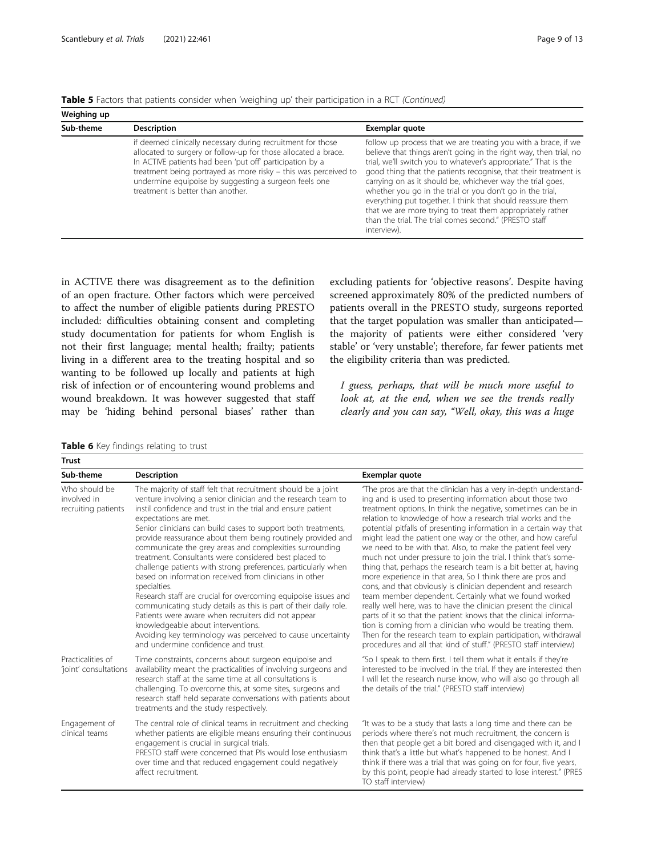<span id="page-8-0"></span>

| Table 5 Factors that patients consider when 'weighing up' their participation in a RCT (Continued) |  |  |  |
|----------------------------------------------------------------------------------------------------|--|--|--|
|----------------------------------------------------------------------------------------------------|--|--|--|

| Weighing up |                                                                                                                                                                                                                                                                                                                                                            |                                                                                                                                                                                                                                                                                                                                                                                                                                                                                                                                                                                                           |
|-------------|------------------------------------------------------------------------------------------------------------------------------------------------------------------------------------------------------------------------------------------------------------------------------------------------------------------------------------------------------------|-----------------------------------------------------------------------------------------------------------------------------------------------------------------------------------------------------------------------------------------------------------------------------------------------------------------------------------------------------------------------------------------------------------------------------------------------------------------------------------------------------------------------------------------------------------------------------------------------------------|
| Sub-theme   | <b>Description</b>                                                                                                                                                                                                                                                                                                                                         | Exemplar quote                                                                                                                                                                                                                                                                                                                                                                                                                                                                                                                                                                                            |
|             | if deemed clinically necessary during recruitment for those<br>allocated to surgery or follow-up for those allocated a brace.<br>In ACTIVE patients had been 'put off' participation by a<br>treatment being portrayed as more risky - this was perceived to<br>undermine equipoise by suggesting a surgeon feels one<br>treatment is better than another. | follow up process that we are treating you with a brace, if we<br>believe that things aren't going in the right way, then trial, no<br>trial, we'll switch you to whatever's appropriate." That is the<br>good thing that the patients recognise, that their treatment is<br>carrying on as it should be, whichever way the trial goes,<br>whether you go in the trial or you don't go in the trial,<br>everything put together. I think that should reassure them<br>that we are more trying to treat them appropriately rather<br>than the trial. The trial comes second." (PRESTO staff<br>interview). |

in ACTIVE there was disagreement as to the definition of an open fracture. Other factors which were perceived to affect the number of eligible patients during PRESTO included: difficulties obtaining consent and completing study documentation for patients for whom English is not their first language; mental health; frailty; patients living in a different area to the treating hospital and so wanting to be followed up locally and patients at high risk of infection or of encountering wound problems and wound breakdown. It was however suggested that staff may be 'hiding behind personal biases' rather than

excluding patients for 'objective reasons'. Despite having screened approximately 80% of the predicted numbers of patients overall in the PRESTO study, surgeons reported that the target population was smaller than anticipated the majority of patients were either considered 'very stable' or 'very unstable'; therefore, far fewer patients met the eligibility criteria than was predicted.

I guess, perhaps, that will be much more useful to look at, at the end, when we see the trends really clearly and you can say, "Well, okay, this was a huge

Table 6 Key findings relating to trust

| <b>Trust</b>                                                                                                                                                                                                                                                                                                                                                                                                 |                                                                                                                                                                                                                                                                                                                                                                                                                                                                                                                                                                                                                                                                                                                                                                                                                                                                                                                                                               |                                                                                                                                                                                                                                                                                                                                                                                                                                                                                                                                                                                                                                                                                                                                                                                                                                                                                                                                                                                                                                                                                                                                                  |  |
|--------------------------------------------------------------------------------------------------------------------------------------------------------------------------------------------------------------------------------------------------------------------------------------------------------------------------------------------------------------------------------------------------------------|---------------------------------------------------------------------------------------------------------------------------------------------------------------------------------------------------------------------------------------------------------------------------------------------------------------------------------------------------------------------------------------------------------------------------------------------------------------------------------------------------------------------------------------------------------------------------------------------------------------------------------------------------------------------------------------------------------------------------------------------------------------------------------------------------------------------------------------------------------------------------------------------------------------------------------------------------------------|--------------------------------------------------------------------------------------------------------------------------------------------------------------------------------------------------------------------------------------------------------------------------------------------------------------------------------------------------------------------------------------------------------------------------------------------------------------------------------------------------------------------------------------------------------------------------------------------------------------------------------------------------------------------------------------------------------------------------------------------------------------------------------------------------------------------------------------------------------------------------------------------------------------------------------------------------------------------------------------------------------------------------------------------------------------------------------------------------------------------------------------------------|--|
| Sub-theme                                                                                                                                                                                                                                                                                                                                                                                                    | <b>Description</b>                                                                                                                                                                                                                                                                                                                                                                                                                                                                                                                                                                                                                                                                                                                                                                                                                                                                                                                                            | Exemplar quote                                                                                                                                                                                                                                                                                                                                                                                                                                                                                                                                                                                                                                                                                                                                                                                                                                                                                                                                                                                                                                                                                                                                   |  |
| Who should be<br>involved in<br>recruiting patients                                                                                                                                                                                                                                                                                                                                                          | The majority of staff felt that recruitment should be a joint<br>venture involving a senior clinician and the research team to<br>instil confidence and trust in the trial and ensure patient<br>expectations are met.<br>Senior clinicians can build cases to support both treatments,<br>provide reassurance about them being routinely provided and<br>communicate the grey areas and complexities surrounding<br>treatment. Consultants were considered best placed to<br>challenge patients with strong preferences, particularly when<br>based on information received from clinicians in other<br>specialties.<br>Research staff are crucial for overcoming equipoise issues and<br>communicating study details as this is part of their daily role.<br>Patients were aware when recruiters did not appear<br>knowledgeable about interventions.<br>Avoiding key terminology was perceived to cause uncertainty<br>and undermine confidence and trust. | "The pros are that the clinician has a very in-depth understand-<br>ing and is used to presenting information about those two<br>treatment options. In think the negative, sometimes can be in<br>relation to knowledge of how a research trial works and the<br>potential pitfalls of presenting information in a certain way that<br>might lead the patient one way or the other, and how careful<br>we need to be with that. Also, to make the patient feel very<br>much not under pressure to join the trial. I think that's some-<br>thing that, perhaps the research team is a bit better at, having<br>more experience in that area, So I think there are pros and<br>cons, and that obviously is clinician dependent and research<br>team member dependent. Certainly what we found worked<br>really well here, was to have the clinician present the clinical<br>parts of it so that the patient knows that the clinical informa-<br>tion is coming from a clinician who would be treating them.<br>Then for the research team to explain participation, withdrawal<br>procedures and all that kind of stuff." (PRESTO staff interview) |  |
| Practicalities of<br>Time constraints, concerns about surgeon equipoise and<br>availability meant the practicalities of involving surgeons and<br>'joint' consultations<br>research staff at the same time at all consultations is<br>challenging. To overcome this, at some sites, surgeons and<br>research staff held separate conversations with patients about<br>treatments and the study respectively. |                                                                                                                                                                                                                                                                                                                                                                                                                                                                                                                                                                                                                                                                                                                                                                                                                                                                                                                                                               | "So I speak to them first. I tell them what it entails if they're<br>interested to be involved in the trial. If they are interested then<br>I will let the research nurse know, who will also go through all<br>the details of the trial." (PRESTO staff interview)                                                                                                                                                                                                                                                                                                                                                                                                                                                                                                                                                                                                                                                                                                                                                                                                                                                                              |  |
| Engagement of<br>clinical teams                                                                                                                                                                                                                                                                                                                                                                              | The central role of clinical teams in recruitment and checking<br>whether patients are eligible means ensuring their continuous<br>engagement is crucial in surgical trials.<br>PRESTO staff were concerned that PIs would lose enthusiasm<br>over time and that reduced engagement could negatively<br>affect recruitment.                                                                                                                                                                                                                                                                                                                                                                                                                                                                                                                                                                                                                                   | "It was to be a study that lasts a long time and there can be<br>periods where there's not much recruitment, the concern is<br>then that people get a bit bored and disengaged with it, and I<br>think that's a little but what's happened to be honest. And I<br>think if there was a trial that was going on for four, five years,<br>by this point, people had already started to lose interest." (PRES<br>TO staff interview)                                                                                                                                                                                                                                                                                                                                                                                                                                                                                                                                                                                                                                                                                                                |  |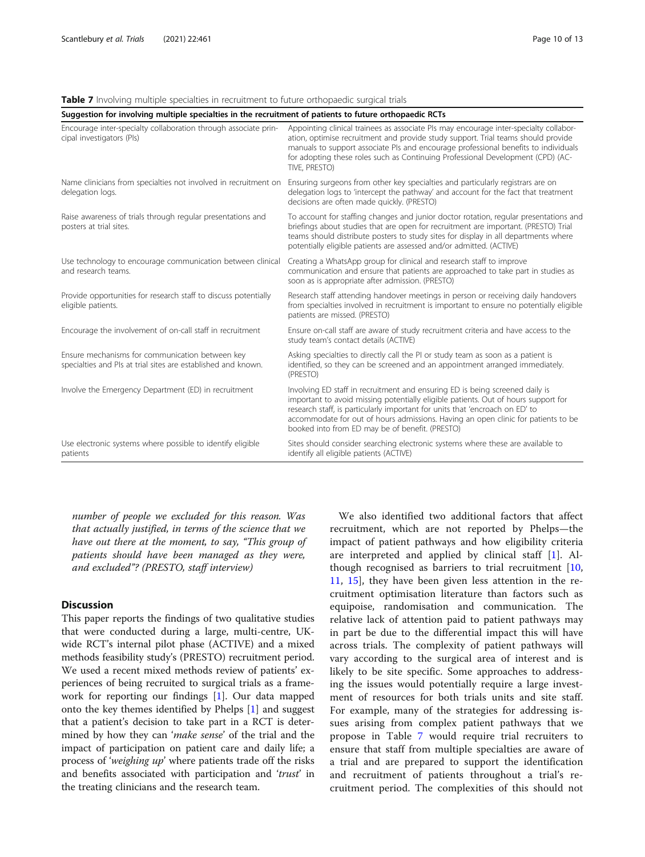#### <span id="page-9-0"></span>Table 7 Involving multiple specialties in recruitment to future orthopaedic surgical trials

| Suggestion for involving multiple specialties in the recruitment of patients to future orthopaedic RCTs          |                                                                                                                                                                                                                                                                                                                                                                                            |  |  |
|------------------------------------------------------------------------------------------------------------------|--------------------------------------------------------------------------------------------------------------------------------------------------------------------------------------------------------------------------------------------------------------------------------------------------------------------------------------------------------------------------------------------|--|--|
| Encourage inter-specialty collaboration through associate prin-<br>cipal investigators (Pls)                     | Appointing clinical trainees as associate PIs may encourage inter-specialty collabor-<br>ation, optimise recruitment and provide study support. Trial teams should provide<br>manuals to support associate PIs and encourage professional benefits to individuals<br>for adopting these roles such as Continuing Professional Development (CPD) (AC-<br>TIVE, PRESTO)                      |  |  |
| Name clinicians from specialties not involved in recruitment on<br>delegation logs.                              | Ensuring surgeons from other key specialties and particularly registrars are on<br>delegation logs to 'intercept the pathway' and account for the fact that treatment<br>decisions are often made quickly. (PRESTO)                                                                                                                                                                        |  |  |
| Raise awareness of trials through regular presentations and<br>posters at trial sites.                           | To account for staffing changes and junior doctor rotation, regular presentations and<br>briefings about studies that are open for recruitment are important. (PRESTO) Trial<br>teams should distribute posters to study sites for display in all departments where<br>potentially eligible patients are assessed and/or admitted. (ACTIVE)                                                |  |  |
| Use technology to encourage communication between clinical<br>and research teams.                                | Creating a WhatsApp group for clinical and research staff to improve<br>communication and ensure that patients are approached to take part in studies as<br>soon as is appropriate after admission. (PRESTO)                                                                                                                                                                               |  |  |
| Provide opportunities for research staff to discuss potentially<br>eligible patients.                            | Research staff attending handover meetings in person or receiving daily handovers<br>from specialties involved in recruitment is important to ensure no potentially eligible<br>patients are missed. (PRESTO)                                                                                                                                                                              |  |  |
| Encourage the involvement of on-call staff in recruitment                                                        | Ensure on-call staff are aware of study recruitment criteria and have access to the<br>study team's contact details (ACTIVE)                                                                                                                                                                                                                                                               |  |  |
| Ensure mechanisms for communication between key<br>specialties and PIs at trial sites are established and known. | Asking specialties to directly call the PI or study team as soon as a patient is<br>identified, so they can be screened and an appointment arranged immediately.<br>(PRESTO)                                                                                                                                                                                                               |  |  |
| Involve the Emergency Department (ED) in recruitment                                                             | Involving ED staff in recruitment and ensuring ED is being screened daily is<br>important to avoid missing potentially eligible patients. Out of hours support for<br>research staff, is particularly important for units that 'encroach on ED' to<br>accommodate for out of hours admissions. Having an open clinic for patients to be<br>booked into from ED may be of benefit. (PRESTO) |  |  |
| Use electronic systems where possible to identify eligible<br>patients                                           | Sites should consider searching electronic systems where these are available to<br>identify all eligible patients (ACTIVE)                                                                                                                                                                                                                                                                 |  |  |

number of people we excluded for this reason. Was that actually justified, in terms of the science that we have out there at the moment, to say, "This group of patients should have been managed as they were, and excluded"? (PRESTO, staff interview)

#### **Discussion**

This paper reports the findings of two qualitative studies that were conducted during a large, multi-centre, UKwide RCT's internal pilot phase (ACTIVE) and a mixed methods feasibility study's (PRESTO) recruitment period. We used a recent mixed methods review of patients' experiences of being recruited to surgical trials as a framework for reporting our findings [[1\]](#page-11-0). Our data mapped onto the key themes identified by Phelps [\[1](#page-11-0)] and suggest that a patient's decision to take part in a RCT is determined by how they can 'make sense' of the trial and the impact of participation on patient care and daily life; a process of 'weighing up' where patients trade off the risks and benefits associated with participation and 'trust' in the treating clinicians and the research team.

We also identified two additional factors that affect recruitment, which are not reported by Phelps—the impact of patient pathways and how eligibility criteria are interpreted and applied by clinical staff [\[1](#page-11-0)]. Although recognised as barriers to trial recruitment  $[10,$  $[10,$  $[10,$ [11,](#page-11-0) [15](#page-11-0)], they have been given less attention in the recruitment optimisation literature than factors such as equipoise, randomisation and communication. The relative lack of attention paid to patient pathways may in part be due to the differential impact this will have across trials. The complexity of patient pathways will vary according to the surgical area of interest and is likely to be site specific. Some approaches to addressing the issues would potentially require a large investment of resources for both trials units and site staff. For example, many of the strategies for addressing issues arising from complex patient pathways that we propose in Table 7 would require trial recruiters to ensure that staff from multiple specialties are aware of a trial and are prepared to support the identification and recruitment of patients throughout a trial's recruitment period. The complexities of this should not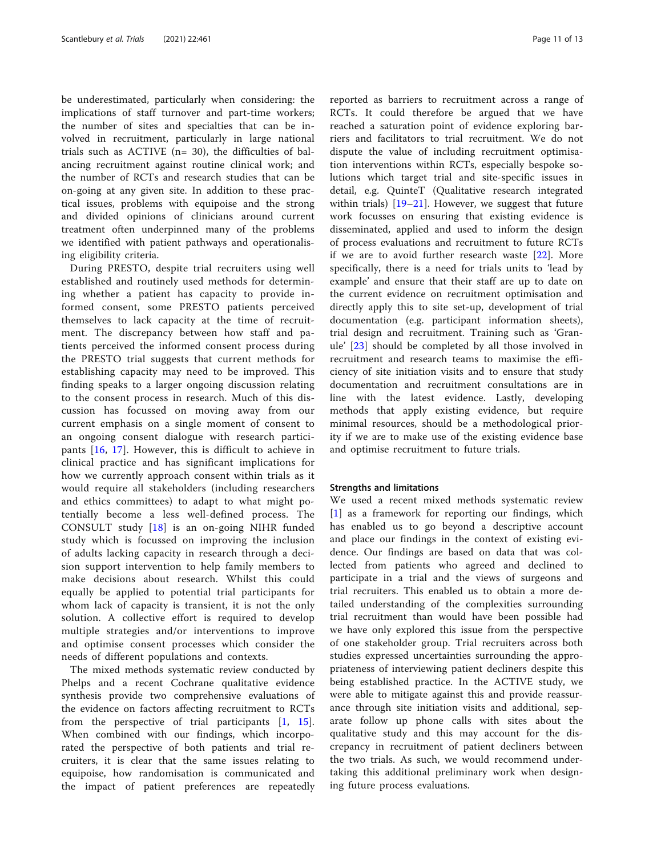be underestimated, particularly when considering: the implications of staff turnover and part-time workers; the number of sites and specialties that can be involved in recruitment, particularly in large national trials such as ACTIVE (n= 30), the difficulties of balancing recruitment against routine clinical work; and the number of RCTs and research studies that can be on-going at any given site. In addition to these practical issues, problems with equipoise and the strong and divided opinions of clinicians around current treatment often underpinned many of the problems we identified with patient pathways and operationalising eligibility criteria.

During PRESTO, despite trial recruiters using well established and routinely used methods for determining whether a patient has capacity to provide informed consent, some PRESTO patients perceived themselves to lack capacity at the time of recruitment. The discrepancy between how staff and patients perceived the informed consent process during the PRESTO trial suggests that current methods for establishing capacity may need to be improved. This finding speaks to a larger ongoing discussion relating to the consent process in research. Much of this discussion has focussed on moving away from our current emphasis on a single moment of consent to an ongoing consent dialogue with research participants [[16](#page-12-0), [17\]](#page-12-0). However, this is difficult to achieve in clinical practice and has significant implications for how we currently approach consent within trials as it would require all stakeholders (including researchers and ethics committees) to adapt to what might potentially become a less well-defined process. The CONSULT study [[18\]](#page-12-0) is an on-going NIHR funded study which is focussed on improving the inclusion of adults lacking capacity in research through a decision support intervention to help family members to make decisions about research. Whilst this could equally be applied to potential trial participants for whom lack of capacity is transient, it is not the only solution. A collective effort is required to develop multiple strategies and/or interventions to improve and optimise consent processes which consider the needs of different populations and contexts.

The mixed methods systematic review conducted by Phelps and a recent Cochrane qualitative evidence synthesis provide two comprehensive evaluations of the evidence on factors affecting recruitment to RCTs from the perspective of trial participants [\[1](#page-11-0), [15](#page-11-0)]. When combined with our findings, which incorporated the perspective of both patients and trial recruiters, it is clear that the same issues relating to equipoise, how randomisation is communicated and the impact of patient preferences are repeatedly

reported as barriers to recruitment across a range of RCTs. It could therefore be argued that we have reached a saturation point of evidence exploring barriers and facilitators to trial recruitment. We do not dispute the value of including recruitment optimisation interventions within RCTs, especially bespoke solutions which target trial and site-specific issues in detail, e.g. QuinteT (Qualitative research integrated within trials)  $[19-21]$  $[19-21]$  $[19-21]$  $[19-21]$ . However, we suggest that future work focusses on ensuring that existing evidence is disseminated, applied and used to inform the design of process evaluations and recruitment to future RCTs if we are to avoid further research waste [[22\]](#page-12-0). More specifically, there is a need for trials units to 'lead by example' and ensure that their staff are up to date on the current evidence on recruitment optimisation and directly apply this to site set-up, development of trial documentation (e.g. participant information sheets), trial design and recruitment. Training such as 'Granule' [[23\]](#page-12-0) should be completed by all those involved in recruitment and research teams to maximise the efficiency of site initiation visits and to ensure that study documentation and recruitment consultations are in line with the latest evidence. Lastly, developing methods that apply existing evidence, but require minimal resources, should be a methodological priority if we are to make use of the existing evidence base and optimise recruitment to future trials.

#### Strengths and limitations

We used a recent mixed methods systematic review [[1\]](#page-11-0) as a framework for reporting our findings, which has enabled us to go beyond a descriptive account and place our findings in the context of existing evidence. Our findings are based on data that was collected from patients who agreed and declined to participate in a trial and the views of surgeons and trial recruiters. This enabled us to obtain a more detailed understanding of the complexities surrounding trial recruitment than would have been possible had we have only explored this issue from the perspective of one stakeholder group. Trial recruiters across both studies expressed uncertainties surrounding the appropriateness of interviewing patient decliners despite this being established practice. In the ACTIVE study, we were able to mitigate against this and provide reassurance through site initiation visits and additional, separate follow up phone calls with sites about the qualitative study and this may account for the discrepancy in recruitment of patient decliners between the two trials. As such, we would recommend undertaking this additional preliminary work when designing future process evaluations.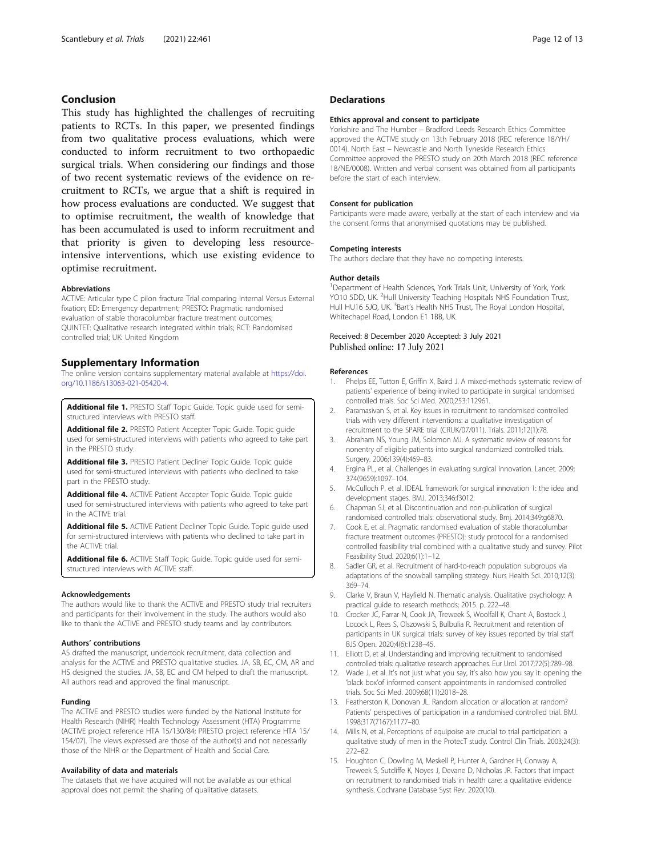#### <span id="page-11-0"></span>Conclusion

This study has highlighted the challenges of recruiting patients to RCTs. In this paper, we presented findings from two qualitative process evaluations, which were conducted to inform recruitment to two orthopaedic surgical trials. When considering our findings and those of two recent systematic reviews of the evidence on recruitment to RCTs, we argue that a shift is required in how process evaluations are conducted. We suggest that to optimise recruitment, the wealth of knowledge that has been accumulated is used to inform recruitment and that priority is given to developing less resourceintensive interventions, which use existing evidence to optimise recruitment.

#### Abbreviations

ACTIVE: Articular type C pilon fracture Trial comparing Internal Versus External fixation; ED: Emergency department; PRESTO: Pragmatic randomised evaluation of stable thoracolumbar fracture treatment outcomes; QUINTET: Qualitative research integrated within trials; RCT: Randomised controlled trial; UK: United Kingdom

#### Supplementary Information

The online version contains supplementary material available at [https://doi.](https://doi.org/10.1186/s13063-021-05420-4) [org/10.1186/s13063-021-05420-4](https://doi.org/10.1186/s13063-021-05420-4).

Additional file 1. PRESTO Staff Topic Guide. Topic guide used for semistructured interviews with PRESTO staff.

Additional file 2. PRESTO Patient Accepter Topic Guide. Topic guide used for semi-structured interviews with patients who agreed to take part in the PRESTO study.

Additional file 3. PRESTO Patient Decliner Topic Guide. Topic guide used for semi-structured interviews with patients who declined to take part in the PRESTO study.

Additional file 4. ACTIVE Patient Accepter Topic Guide. Topic quide used for semi-structured interviews with patients who agreed to take part in the ACTIVE trial.

Additional file 5. ACTIVE Patient Decliner Topic Guide. Topic guide used for semi-structured interviews with patients who declined to take part in the ACTIVE trial.

Additional file 6. ACTIVE Staff Topic Guide. Topic guide used for semistructured interviews with ACTIVE staff.

#### Acknowledgements

The authors would like to thank the ACTIVE and PRESTO study trial recruiters and participants for their involvement in the study. The authors would also like to thank the ACTIVE and PRESTO study teams and lay contributors.

#### Authors' contributions

AS drafted the manuscript, undertook recruitment, data collection and analysis for the ACTIVE and PRESTO qualitative studies. JA, SB, EC, CM, AR and HS designed the studies. JA, SB, EC and CM helped to draft the manuscript. All authors read and approved the final manuscript.

#### Funding

The ACTIVE and PRESTO studies were funded by the National Institute for Health Research (NIHR) Health Technology Assessment (HTA) Programme (ACTIVE project reference HTA 15/130/84; PRESTO project reference HTA 15/ 154/07). The views expressed are those of the author(s) and not necessarily those of the NIHR or the Department of Health and Social Care.

#### Availability of data and materials

The datasets that we have acquired will not be available as our ethical approval does not permit the sharing of qualitative datasets.

#### **Declarations**

#### Ethics approval and consent to participate

Yorkshire and The Humber – Bradford Leeds Research Ethics Committee approved the ACTIVE study on 13th February 2018 (REC reference 18/YH/ 0014). North East – Newcastle and North Tyneside Research Ethics Committee approved the PRESTO study on 20th March 2018 (REC reference 18/NE/0008). Written and verbal consent was obtained from all participants before the start of each interview.

#### Consent for publication

Participants were made aware, verbally at the start of each interview and via the consent forms that anonymised quotations may be published.

#### Competing interests

The authors declare that they have no competing interests.

#### Author details

<sup>1</sup>Department of Health Sciences, York Trials Unit, University of York, York YO10 5DD, UK. <sup>2</sup>Hull University Teaching Hospitals NHS Foundation Trust Hull HU16 5JQ, UK. <sup>3</sup>Bart's Health NHS Trust, The Royal London Hospital Whitechapel Road, London E1 1BB, UK.

# Received: 8 December 2020 Accepted: 3 July 2021<br>Published online: 17 July 2021

#### References

- Phelps EE, Tutton E, Griffin X, Baird J. A mixed-methods systematic review of patients' experience of being invited to participate in surgical randomised controlled trials. Soc Sci Med. 2020;253:112961.
- 2. Paramasivan S, et al. Key issues in recruitment to randomised controlled trials with very different interventions: a qualitative investigation of recruitment to the SPARE trial (CRUK/07/011). Trials. 2011;12(1):78.
- 3. Abraham NS, Young JM, Solomon MJ. A systematic review of reasons for nonentry of eligible patients into surgical randomized controlled trials. Surgery. 2006;139(4):469–83.
- 4. Ergina PL, et al. Challenges in evaluating surgical innovation. Lancet. 2009; 374(9659):1097–104.
- 5. McCulloch P, et al. IDEAL framework for surgical innovation 1: the idea and development stages. BMJ. 2013;346:f3012.
- 6. Chapman SJ, et al. Discontinuation and non-publication of surgical randomised controlled trials: observational study. Bmj. 2014;349:g6870.
- 7. Cook E, et al. Pragmatic randomised evaluation of stable thoracolumbar fracture treatment outcomes (PRESTO): study protocol for a randomised controlled feasibility trial combined with a qualitative study and survey. Pilot Feasibility Stud. 2020;6(1):1–12.
- 8. Sadler GR, et al. Recruitment of hard-to-reach population subgroups via adaptations of the snowball sampling strategy. Nurs Health Sci. 2010;12(3): 369–74.
- 9. Clarke V, Braun V, Hayfield N. Thematic analysis. Qualitative psychology: A practical guide to research methods; 2015. p. 222–48.
- 10. Crocker JC, Farrar N, Cook JA, Treweek S, Woolfall K, Chant A, Bostock J, Locock L, Rees S, Olszowski S, Bulbulia R. Recruitment and retention of participants in UK surgical trials: survey of key issues reported by trial staff. BJS Open. 2020;4(6):1238–45.
- 11. Elliott D, et al. Understanding and improving recruitment to randomised controlled trials: qualitative research approaches. Eur Urol. 2017;72(5):789–98.
- 12. Wade J, et al. It's not just what you say, it's also how you say it: opening the 'black box'of informed consent appointments in randomised controlled trials. Soc Sci Med. 2009;68(11):2018–28.
- 13. Featherston K, Donovan JL. Random allocation or allocation at random? Patients' perspectives of participation in a randomised controlled trial. BMJ. 1998;317(7167):1177–80.
- 14. Mills N, et al. Perceptions of equipoise are crucial to trial participation: a qualitative study of men in the ProtecT study. Control Clin Trials. 2003;24(3): 272–82.
- 15. Houghton C, Dowling M, Meskell P, Hunter A, Gardner H, Conway A, Treweek S, Sutcliffe K, Noyes J, Devane D, Nicholas JR. Factors that impact on recruitment to randomised trials in health care: a qualitative evidence synthesis. Cochrane Database Syst Rev. 2020(10).